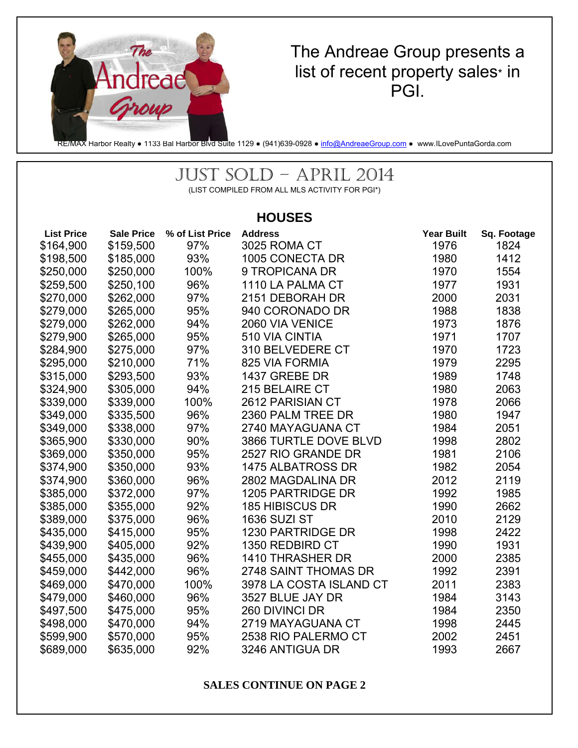

## The Andreae Group presents a list of recent property sales\* in PGI.

RE/MAX Harbor Realty • 1133 Bal Harbor Blvd Suite 1129 • (941)639-0928 • info@AndreaeGroup.com • www.ILovePuntaGorda.com

# JUST SOLD – APRIL 2014

(LIST COMPILED FROM ALL MLS ACTIVITY FOR PGI\*)

### **HOUSES**

| <b>List Price</b> | <b>Sale Price</b> | % of List Price | <b>Address</b>          | <b>Year Built</b> | Sq. Footage |
|-------------------|-------------------|-----------------|-------------------------|-------------------|-------------|
| \$164,900         | \$159,500         | 97%             | 3025 ROMA CT            | 1976              | 1824        |
| \$198,500         | \$185,000         | 93%             | 1005 CONECTA DR         | 1980              | 1412        |
| \$250,000         | \$250,000         | 100%            | 9 TROPICANA DR          | 1970              | 1554        |
| \$259,500         | \$250,100         | 96%             | 1110 LA PALMA CT        | 1977              | 1931        |
| \$270,000         | \$262,000         | 97%             | 2151 DEBORAH DR         | 2000              | 2031        |
| \$279,000         | \$265,000         | 95%             | 940 CORONADO DR         | 1988              | 1838        |
| \$279,000         | \$262,000         | 94%             | 2060 VIA VENICE         | 1973              | 1876        |
| \$279,900         | \$265,000         | 95%             | 510 VIA CINTIA          | 1971              | 1707        |
| \$284,900         | \$275,000         | 97%             | 310 BELVEDERE CT        | 1970              | 1723        |
| \$295,000         | \$210,000         | 71%             | 825 VIA FORMIA          | 1979              | 2295        |
| \$315,000         | \$293,500         | 93%             | 1437 GREBE DR           | 1989              | 1748        |
| \$324,900         | \$305,000         | 94%             | 215 BELAIRE CT          | 1980              | 2063        |
| \$339,000         | \$339,000         | 100%            | 2612 PARISIAN CT        | 1978              | 2066        |
| \$349,000         | \$335,500         | 96%             | 2360 PALM TREE DR       | 1980              | 1947        |
| \$349,000         | \$338,000         | 97%             | 2740 MAYAGUANA CT       | 1984              | 2051        |
| \$365,900         | \$330,000         | 90%             | 3866 TURTLE DOVE BLVD   | 1998              | 2802        |
| \$369,000         | \$350,000         | 95%             | 2527 RIO GRANDE DR      | 1981              | 2106        |
| \$374,900         | \$350,000         | 93%             | 1475 ALBATROSS DR       | 1982              | 2054        |
| \$374,900         | \$360,000         | 96%             | 2802 MAGDALINA DR       | 2012              | 2119        |
| \$385,000         | \$372,000         | 97%             | 1205 PARTRIDGE DR       | 1992              | 1985        |
| \$385,000         | \$355,000         | 92%             | <b>185 HIBISCUS DR</b>  | 1990              | 2662        |
| \$389,000         | \$375,000         | 96%             | <b>1636 SUZI ST</b>     | 2010              | 2129        |
| \$435,000         | \$415,000         | 95%             | 1230 PARTRIDGE DR       | 1998              | 2422        |
| \$439,900         | \$405,000         | 92%             | 1350 REDBIRD CT         | 1990              | 1931        |
| \$455,000         | \$435,000         | 96%             | 1410 THRASHER DR        | 2000              | 2385        |
| \$459,000         | \$442,000         | 96%             | 2748 SAINT THOMAS DR    | 1992              | 2391        |
| \$469,000         | \$470,000         | 100%            | 3978 LA COSTA ISLAND CT | 2011              | 2383        |
| \$479,000         | \$460,000         | 96%             | 3527 BLUE JAY DR        | 1984              | 3143        |
| \$497,500         | \$475,000         | 95%             | 260 DIVINCI DR          | 1984              | 2350        |
| \$498,000         | \$470,000         | 94%             | 2719 MAYAGUANA CT       | 1998              | 2445        |
| \$599,900         | \$570,000         | 95%             | 2538 RIO PALERMO CT     | 2002              | 2451        |
| \$689,000         | \$635,000         | 92%             | 3246 ANTIGUA DR         | 1993              | 2667        |

**SALES CONTINUE ON PAGE 2**